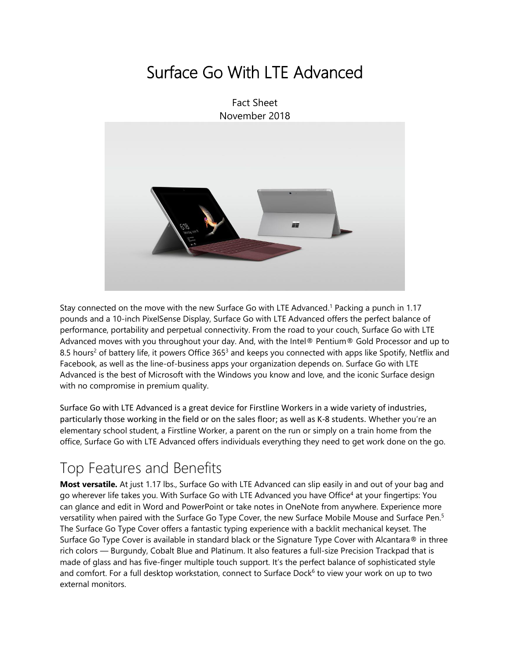# Surface Go With LTE Advanced

Fact Sheet November 2018



Stay connected on the move with the new Surface Go with LTE Advanced. <sup>1</sup> Packing a punch in 1.17 pounds and a 10-inch PixelSense Display, Surface Go with LTE Advanced offers the perfect balance of performance, portability and perpetual connectivity. From the road to your couch, Surface Go with LTE Advanced moves with you throughout your day. And, with the Intel® Pentium® Gold Processor and up to 8.5 hours<sup>2</sup> of battery life, it powers Office 365<sup>3</sup> and keeps you connected with apps like Spotify, Netflix and Facebook, as well as the line-of-business apps your organization depends on. Surface Go with LTE Advanced is the best of Microsoft with the Windows you know and love, and the iconic Surface design with no compromise in premium quality.

Surface Go with LTE Advanced is a great device for Firstline Workers in a wide variety of industries, particularly those working in the field or on the sales floor; as well as K-8 students. Whether you're an elementary school student, a Firstline Worker, a parent on the run or simply on a train home from the office, Surface Go with LTE Advanced offers individuals everything they need to get work done on the go.

### Top Features and Benefits

**Most versatile.** At just 1.17 lbs., Surface Go with LTE Advanced can slip easily in and out of your bag and go wherever life takes you. With Surface Go with LTE Advanced you have Office<sup>4</sup> at your fingertips: You can glance and edit in Word and PowerPoint or take notes in OneNote from anywhere. Experience more versatility when paired with the Surface Go Type Cover, the new Surface Mobile Mouse and Surface Pen.<sup>5</sup> The Surface Go Type Cover offers a fantastic typing experience with a backlit mechanical keyset. The Surface Go Type Cover is available in standard black or the Signature Type Cover with Alcantara® in three rich colors — Burgundy, Cobalt Blue and Platinum. It also features a full-size Precision Trackpad that is made of glass and has five-finger multiple touch support. It's the perfect balance of sophisticated style and comfort. For a full desktop workstation, connect to Surface Dock<sup>6</sup> to view your work on up to two external monitors.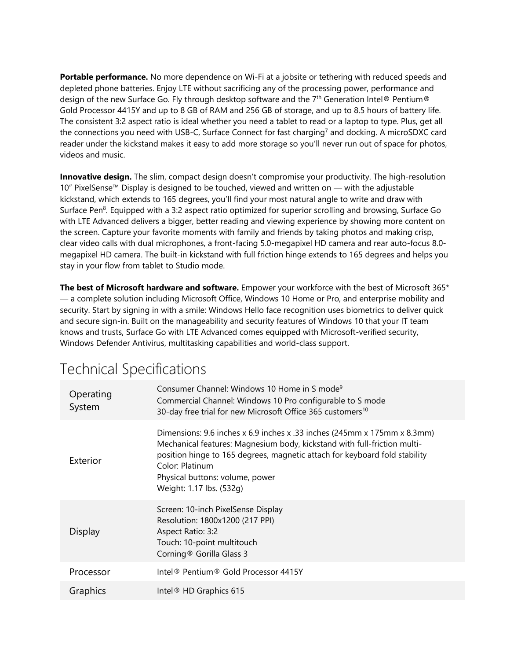**Portable performance.** No more dependence on Wi-Fi at a jobsite or tethering with reduced speeds and depleted phone batteries. Enjoy LTE without sacrificing any of the processing power, performance and design of the new Surface Go. Fly through desktop software and the 7<sup>th</sup> Generation Intel® Pentium® Gold Processor 4415Y and up to 8 GB of RAM and 256 GB of storage, and up to 8.5 hours of battery life. The consistent 3:2 aspect ratio is ideal whether you need a tablet to read or a laptop to type. Plus, get all the connections you need with USB-C, Surface Connect for fast charging<sup>7</sup> and docking. A microSDXC card reader under the kickstand makes it easy to add more storage so you'll never run out of space for photos, videos and music.

**Innovative design.** The slim, compact design doesn't compromise your productivity. The high-resolution 10" PixelSense™ Display is designed to be touched, viewed and written on — with the adjustable kickstand, which extends to 165 degrees, you'll find your most natural angle to write and draw with Surface Pen<sup>8</sup>. Equipped with a 3:2 aspect ratio optimized for superior scrolling and browsing, Surface Go with LTE Advanced delivers a bigger, better reading and viewing experience by showing more content on the screen. Capture your favorite moments with family and friends by taking photos and making crisp, clear video calls with dual microphones, a front-facing 5.0-megapixel HD camera and rear auto-focus 8.0 megapixel HD camera. The built-in kickstand with full friction hinge extends to 165 degrees and helps you stay in your flow from tablet to Studio mode.

**The best of Microsoft hardware and software.** Empower your workforce with the best of Microsoft 365\* — a complete solution including Microsoft Office, Windows 10 Home or Pro, and enterprise mobility and security. Start by signing in with a smile: Windows Hello face recognition uses biometrics to deliver quick and secure sign-in. Built on the manageability and security features of Windows 10 that your IT team knows and trusts, Surface Go with LTE Advanced comes equipped with Microsoft-verified security, Windows Defender Antivirus, multitasking capabilities and world-class support.

| Operating<br>System | Consumer Channel: Windows 10 Home in S mode <sup>9</sup><br>Commercial Channel: Windows 10 Pro configurable to S mode<br>30-day free trial for new Microsoft Office 365 customers <sup>10</sup>                                                                                                                      |
|---------------------|----------------------------------------------------------------------------------------------------------------------------------------------------------------------------------------------------------------------------------------------------------------------------------------------------------------------|
| Exterior            | Dimensions: 9.6 inches x 6.9 inches x .33 inches (245mm x 175mm x 8.3mm)<br>Mechanical features: Magnesium body, kickstand with full-friction multi-<br>position hinge to 165 degrees, magnetic attach for keyboard fold stability<br>Color: Platinum<br>Physical buttons: volume, power<br>Weight: 1.17 lbs. (532g) |
| Display             | Screen: 10-inch PixelSense Display<br>Resolution: 1800x1200 (217 PPI)<br>Aspect Ratio: 3:2<br>Touch: 10-point multitouch<br>Corning <sup>®</sup> Gorilla Glass 3                                                                                                                                                     |
| Processor           | Intel <sup>®</sup> Pentium <sup>®</sup> Gold Processor 4415Y                                                                                                                                                                                                                                                         |
| Graphics            | Intel <sup>®</sup> HD Graphics 615                                                                                                                                                                                                                                                                                   |

## Technical Specifications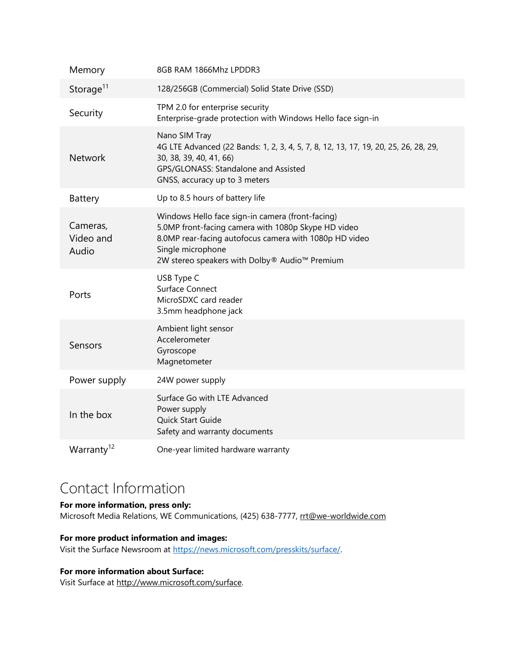| Memory                         | 8GB RAM 1866Mhz LPDDR3                                                                                                                                                                                                                  |
|--------------------------------|-----------------------------------------------------------------------------------------------------------------------------------------------------------------------------------------------------------------------------------------|
| Storage <sup>11</sup>          | 128/256GB (Commercial) Solid State Drive (SSD)                                                                                                                                                                                          |
| Security                       | TPM 2.0 for enterprise security<br>Enterprise-grade protection with Windows Hello face sign-in                                                                                                                                          |
| <b>Network</b>                 | Nano SIM Tray<br>4G LTE Advanced (22 Bands: 1, 2, 3, 4, 5, 7, 8, 12, 13, 17, 19, 20, 25, 26, 28, 29,<br>30, 38, 39, 40, 41, 66)<br>GPS/GLONASS: Standalone and Assisted<br>GNSS, accuracy up to 3 meters                                |
| Battery                        | Up to 8.5 hours of battery life                                                                                                                                                                                                         |
| Cameras,<br>Video and<br>Audio | Windows Hello face sign-in camera (front-facing)<br>5.0MP front-facing camera with 1080p Skype HD video<br>8.0MP rear-facing autofocus camera with 1080p HD video<br>Single microphone<br>2W stereo speakers with Dolby® Audio™ Premium |
| Ports                          | USB Type C<br>Surface Connect<br>MicroSDXC card reader<br>3.5mm headphone jack                                                                                                                                                          |
| Sensors                        | Ambient light sensor<br>Accelerometer<br>Gyroscope<br>Magnetometer                                                                                                                                                                      |
| Power supply                   | 24W power supply                                                                                                                                                                                                                        |
| In the box                     | Surface Go with LTE Advanced<br>Power supply<br>Quick Start Guide<br>Safety and warranty documents                                                                                                                                      |
| Warranty <sup>12</sup>         | One-year limited hardware warranty                                                                                                                                                                                                      |

### Contact Information

#### **For more information, press only:**

Microsoft Media Relations, WE Communications, (425) 638-7777, [rrt@we-worldwide.com](mailto:rrt@waggeneredstrom.com)

#### **For more product information and images:**

Visit the Surface Newsroom at [https://news.microsoft.com/presskits/surface/.](https://news.microsoft.com/presskits/surface/)

### **For more information about Surface:**

Visit Surface at [http://www.microsoft.com/surface.](http://www.microsoft.com/surface)